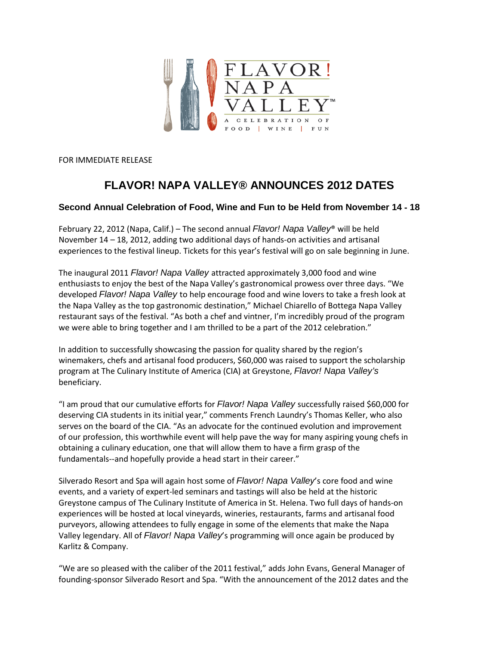

FOR IMMEDIATE RELEASE

## **FLAVOR! NAPA VALLEY® ANNOUNCES 2012 DATES**

## **Second Annual Celebration of Food, Wine and Fun to be Held from November 14** ‐ **18**

February 22, 2012 (Napa, Calif.) – The second annual *Flavor! Napa Valley*® will be held November 14 – 18, 2012, adding two additional days of hands‐on activities and artisanal experiences to the festival lineup. Tickets for this year's festival will go on sale beginning in June.

The inaugural 2011 *Flavor! Napa Valley* attracted approximately 3,000 food and wine enthusiasts to enjoy the best of the Napa Valley's gastronomical prowess over three days. "We developed *Flavor! Napa Valley* to help encourage food and wine lovers to take a fresh look at the Napa Valley as the top gastronomic destination," Michael Chiarello of Bottega Napa Valley restaurant says of the festival. "As both a chef and vintner, I'm incredibly proud of the program we were able to bring together and I am thrilled to be a part of the 2012 celebration."

In addition to successfully showcasing the passion for quality shared by the region's winemakers, chefs and artisanal food producers, \$60,000 was raised to support the scholarship program at The Culinary Institute of America (CIA) at Greystone, *Flavor! Napa Valley's* beneficiary.

"I am proud that our cumulative efforts for *Flavor! Napa Valley* successfully raised \$60,000 for deserving CIA students in its initial year," comments French Laundry's Thomas Keller, who also serves on the board of the CIA. "As an advocate for the continued evolution and improvement of our profession, this worthwhile event will help pave the way for many aspiring young chefs in obtaining a culinary education, one that will allow them to have a firm grasp of the fundamentals--and hopefully provide a head start in their career."

Silverado Resort and Spa will again host some of *Flavor! Napa Valley*'s core food and wine events, and a variety of expert‐led seminars and tastings will also be held at the historic Greystone campus of The Culinary Institute of America in St. Helena. Two full days of hands‐on experiences will be hosted at local vineyards, wineries, restaurants, farms and artisanal food purveyors, allowing attendees to fully engage in some of the elements that make the Napa Valley legendary. All of *Flavor! Napa Valley*'s programming will once again be produced by Karlitz & Company.

"We are so pleased with the caliber of the 2011 festival," adds John Evans, General Manager of founding‐sponsor Silverado Resort and Spa. "With the announcement of the 2012 dates and the